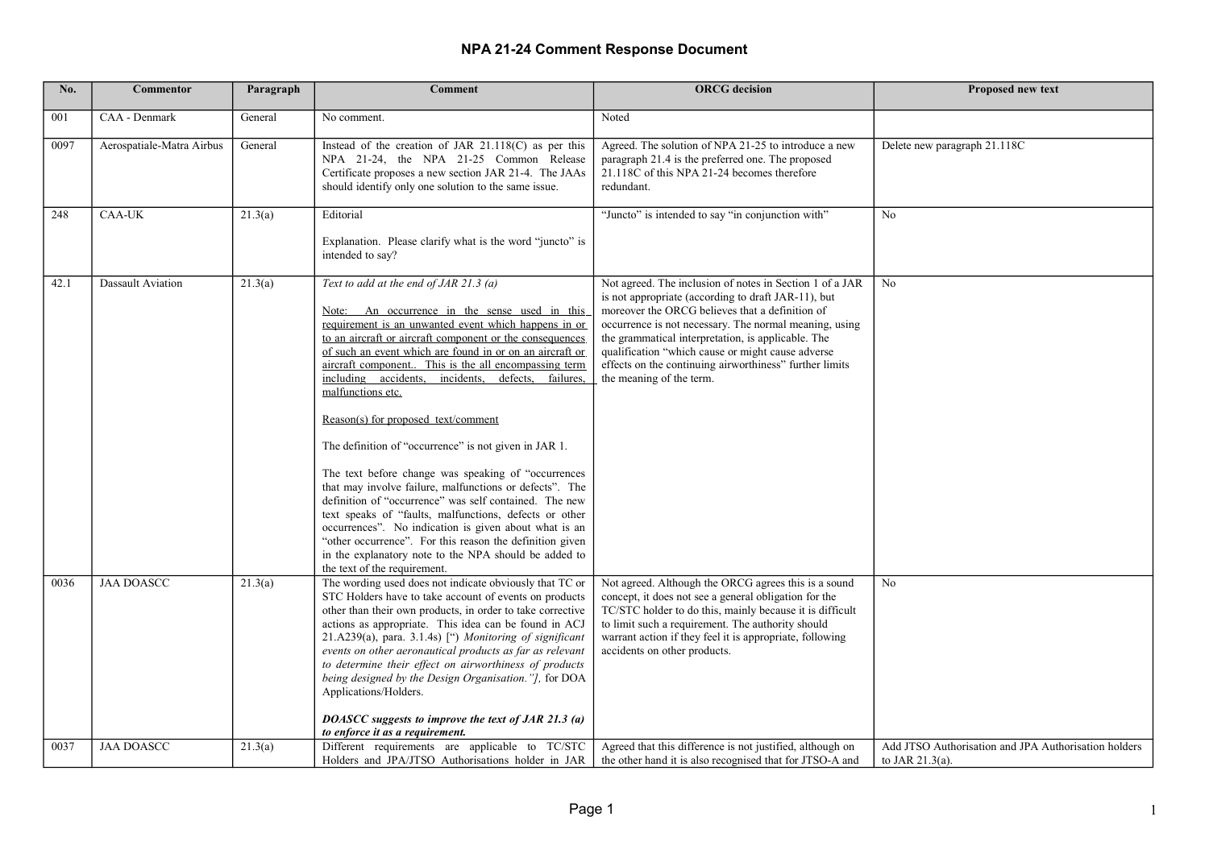| No.          | <b>Commentor</b>                       | Paragraph | Comment                                                                                                                                                                                                                                                                                                                                                                                                                                                                                                                                                                                                                                                                                                                                                                                                                                                                                                                                                          | <b>ORCG</b> decision                                                                                                                                                                                                                                                                                                                                                                                                           | <b>Proposed new text</b>                                   |
|--------------|----------------------------------------|-----------|------------------------------------------------------------------------------------------------------------------------------------------------------------------------------------------------------------------------------------------------------------------------------------------------------------------------------------------------------------------------------------------------------------------------------------------------------------------------------------------------------------------------------------------------------------------------------------------------------------------------------------------------------------------------------------------------------------------------------------------------------------------------------------------------------------------------------------------------------------------------------------------------------------------------------------------------------------------|--------------------------------------------------------------------------------------------------------------------------------------------------------------------------------------------------------------------------------------------------------------------------------------------------------------------------------------------------------------------------------------------------------------------------------|------------------------------------------------------------|
| 001          | CAA - Denmark                          | General   | No comment.                                                                                                                                                                                                                                                                                                                                                                                                                                                                                                                                                                                                                                                                                                                                                                                                                                                                                                                                                      | Noted                                                                                                                                                                                                                                                                                                                                                                                                                          |                                                            |
| 0097         | Aerospatiale-Matra Airbus              | General   | Instead of the creation of JAR $21.118(C)$ as per this<br>NPA 21-24, the NPA 21-25 Common Release<br>Certificate proposes a new section JAR 21-4. The JAAs<br>should identify only one solution to the same issue.                                                                                                                                                                                                                                                                                                                                                                                                                                                                                                                                                                                                                                                                                                                                               | Agreed. The solution of NPA 21-25 to introduce a new<br>paragraph 21.4 is the preferred one. The proposed<br>21.118C of this NPA 21-24 becomes therefore<br>redundant.                                                                                                                                                                                                                                                         | Delete new paragraph 21.118C                               |
| 248          | <b>CAA-UK</b>                          | 21.3(a)   | Editorial<br>Explanation. Please clarify what is the word "juncto" is<br>intended to say?                                                                                                                                                                                                                                                                                                                                                                                                                                                                                                                                                                                                                                                                                                                                                                                                                                                                        | "Juncto" is intended to say "in conjunction with"                                                                                                                                                                                                                                                                                                                                                                              | No                                                         |
| 42.1         | Dassault Aviation                      | 21.3(a)   | Text to add at the end of JAR 21.3 (a)<br>Note: An occurrence in the sense used in this<br>requirement is an unwanted event which happens in or<br>to an aircraft or aircraft component or the consequences<br>of such an event which are found in or on an aircraft or<br>aircraft component. This is the all encompassing term<br>including accidents, incidents, defects, failures,<br>malfunctions etc.<br>Reason(s) for proposed text/comment<br>The definition of "occurrence" is not given in JAR 1.<br>The text before change was speaking of "occurrences"<br>that may involve failure, malfunctions or defects". The<br>definition of "occurrence" was self contained. The new<br>text speaks of "faults, malfunctions, defects or other<br>occurrences". No indication is given about what is an<br>"other occurrence". For this reason the definition given<br>in the explanatory note to the NPA should be added to<br>the text of the requirement. | Not agreed. The inclusion of notes in Section 1 of a JAR<br>is not appropriate (according to draft JAR-11), but<br>moreover the ORCG believes that a definition of<br>occurrence is not necessary. The normal meaning, using<br>the grammatical interpretation, is applicable. The<br>qualification "which cause or might cause adverse<br>effects on the continuing airworthiness" further limits<br>the meaning of the term. | N <sub>0</sub>                                             |
| 0036<br>0037 | <b>JAA DOASCC</b><br><b>JAA DOASCC</b> | 21.3(a)   | The wording used does not indicate obviously that TC or<br>STC Holders have to take account of events on products<br>other than their own products, in order to take corrective<br>actions as appropriate. This idea can be found in ACJ<br>21.A239(a), para. 3.1.4s) [") Monitoring of significant<br>events on other aeronautical products as far as relevant<br>to determine their effect on airworthiness of products<br>being designed by the Design Organisation."], for DOA<br>Applications/Holders.<br>DOASCC suggests to improve the text of JAR 21.3 (a)<br>to enforce it as a requirement.<br>Different requirements are applicable to TC/STC                                                                                                                                                                                                                                                                                                         | Not agreed. Although the ORCG agrees this is a sound<br>concept, it does not see a general obligation for the<br>TC/STC holder to do this, mainly because it is difficult<br>to limit such a requirement. The authority should<br>warrant action if they feel it is appropriate, following<br>accidents on other products.                                                                                                     | No<br>Add JTSO Authorisation and JPA Authorisation holders |
|              |                                        | 21.3(a)   | Holders and JPA/JTSO Authorisations holder in JAR                                                                                                                                                                                                                                                                                                                                                                                                                                                                                                                                                                                                                                                                                                                                                                                                                                                                                                                | Agreed that this difference is not justified, although on<br>the other hand it is also recognised that for JTSO-A and                                                                                                                                                                                                                                                                                                          | to JAR $21.3(a)$ .                                         |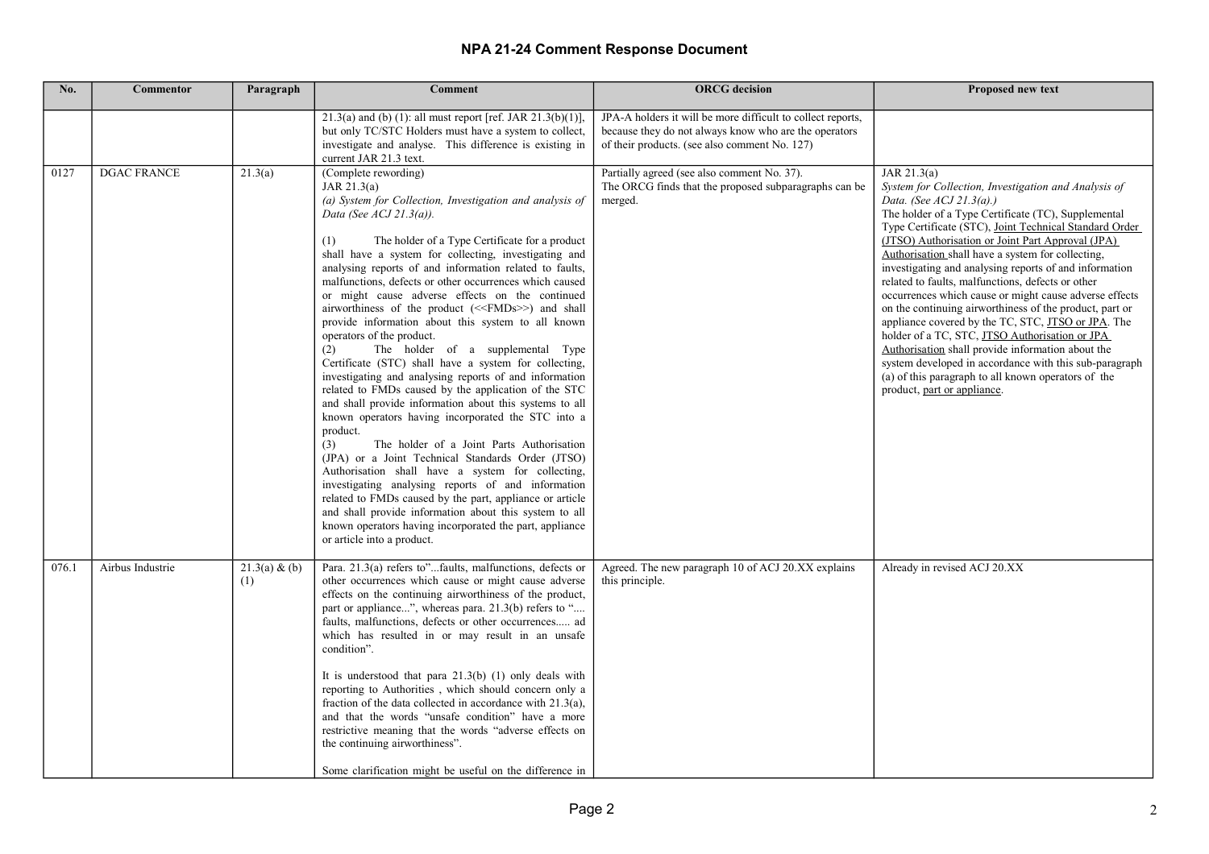| No.   | <b>Commentor</b>   | Paragraph            | <b>Comment</b>                                                                                                                                                                                                                                                                                                                                                                                                                                                                                                                                                                                                                                                                                                                                                                                                                                                                                                                                                                                                                                                                                                                                                                                                                                                                                                                                                                         | <b>ORCG</b> decision                                                                                                                                                  | Proposed new text                                                                                                                                                                                                                                                                                                                                                                                                                                                                                                                                                                                                                                                                                                                                                                                                                                                             |
|-------|--------------------|----------------------|----------------------------------------------------------------------------------------------------------------------------------------------------------------------------------------------------------------------------------------------------------------------------------------------------------------------------------------------------------------------------------------------------------------------------------------------------------------------------------------------------------------------------------------------------------------------------------------------------------------------------------------------------------------------------------------------------------------------------------------------------------------------------------------------------------------------------------------------------------------------------------------------------------------------------------------------------------------------------------------------------------------------------------------------------------------------------------------------------------------------------------------------------------------------------------------------------------------------------------------------------------------------------------------------------------------------------------------------------------------------------------------|-----------------------------------------------------------------------------------------------------------------------------------------------------------------------|-------------------------------------------------------------------------------------------------------------------------------------------------------------------------------------------------------------------------------------------------------------------------------------------------------------------------------------------------------------------------------------------------------------------------------------------------------------------------------------------------------------------------------------------------------------------------------------------------------------------------------------------------------------------------------------------------------------------------------------------------------------------------------------------------------------------------------------------------------------------------------|
|       |                    |                      | 21.3(a) and (b) (1): all must report [ref. JAR 21.3(b)(1)],<br>but only TC/STC Holders must have a system to collect,<br>investigate and analyse. This difference is existing in<br>current JAR 21.3 text.                                                                                                                                                                                                                                                                                                                                                                                                                                                                                                                                                                                                                                                                                                                                                                                                                                                                                                                                                                                                                                                                                                                                                                             | JPA-A holders it will be more difficult to collect reports,<br>because they do not always know who are the operators<br>of their products. (see also comment No. 127) |                                                                                                                                                                                                                                                                                                                                                                                                                                                                                                                                                                                                                                                                                                                                                                                                                                                                               |
| 0127  | <b>DGAC FRANCE</b> | 21.3(a)              | (Complete rewording)<br>JAR $21.3(a)$<br>(a) System for Collection, Investigation and analysis of<br>Data (See $ACJ$ 21.3(a)).<br>The holder of a Type Certificate for a product<br>(1)<br>shall have a system for collecting, investigating and<br>analysing reports of and information related to faults,<br>malfunctions, defects or other occurrences which caused<br>or might cause adverse effects on the continued<br>airworthiness of the product (< <fmds>&gt;) and shall<br/>provide information about this system to all known<br/>operators of the product.<br/>The holder of a supplemental Type<br/>(2)<br/>Certificate (STC) shall have a system for collecting,<br/>investigating and analysing reports of and information<br/>related to FMDs caused by the application of the STC<br/>and shall provide information about this systems to all<br/>known operators having incorporated the STC into a<br/>product.<br/>(3)<br/>The holder of a Joint Parts Authorisation<br/>(JPA) or a Joint Technical Standards Order (JTSO)<br/>Authorisation shall have a system for collecting,<br/>investigating analysing reports of and information<br/>related to FMDs caused by the part, appliance or article<br/>and shall provide information about this system to all<br/>known operators having incorporated the part, appliance<br/>or article into a product.</fmds> | Partially agreed (see also comment No. 37).<br>The ORCG finds that the proposed subparagraphs can be<br>merged.                                                       | JAR $21.3(a)$<br>System for Collection, Investigation and Analysis of<br>Data. (See ACJ 21.3(a).)<br>The holder of a Type Certificate (TC), Supplemental<br>Type Certificate (STC), Joint Technical Standard Order<br>(JTSO) Authorisation or Joint Part Approval (JPA)<br>Authorisation shall have a system for collecting,<br>investigating and analysing reports of and information<br>related to faults, malfunctions, defects or other<br>occurrences which cause or might cause adverse effects<br>on the continuing airworthiness of the product, part or<br>appliance covered by the TC, STC, JTSO or JPA. The<br>holder of a TC, STC, JTSO Authorisation or JPA<br>Authorisation shall provide information about the<br>system developed in accordance with this sub-paragraph<br>(a) of this paragraph to all known operators of the<br>product, part or appliance. |
| 076.1 | Airbus Industrie   | 21.3(a) & (b)<br>(1) | Para. 21.3(a) refers to"faults, malfunctions, defects or<br>other occurrences which cause or might cause adverse<br>effects on the continuing airworthiness of the product,<br>part or appliance", whereas para. 21.3(b) refers to "<br>faults, malfunctions, defects or other occurrences ad<br>which has resulted in or may result in an unsafe<br>condition".<br>It is understood that para $21.3(b)$ (1) only deals with<br>reporting to Authorities, which should concern only a<br>fraction of the data collected in accordance with $21.3(a)$ ,<br>and that the words "unsafe condition" have a more<br>restrictive meaning that the words "adverse effects on<br>the continuing airworthiness".<br>Some clarification might be useful on the difference in                                                                                                                                                                                                                                                                                                                                                                                                                                                                                                                                                                                                                     | Agreed. The new paragraph 10 of ACJ 20.XX explains<br>this principle.                                                                                                 | Already in revised ACJ 20.XX                                                                                                                                                                                                                                                                                                                                                                                                                                                                                                                                                                                                                                                                                                                                                                                                                                                  |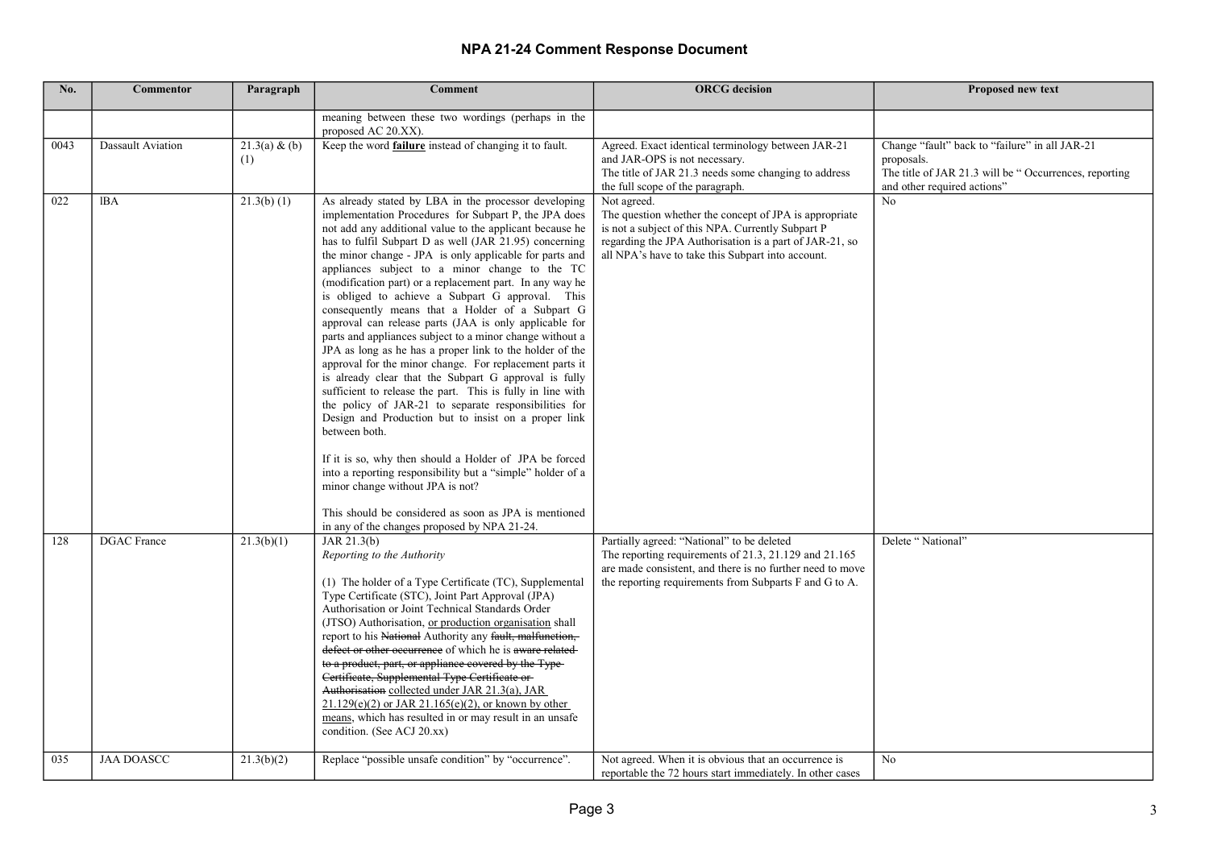| No.  | <b>Commentor</b>   | Paragraph            | <b>Comment</b>                                                                                                                                                                                                                                                                                                                                                                                                                                                                                                                                                                                                                                                                                                                                                                                                                                                                                                                                                                                                                                                                                                                                                                                                                                                                                 | <b>ORCG</b> decision                                                                                                                                                                                                                       | Proposed new text                                                                                                                                    |
|------|--------------------|----------------------|------------------------------------------------------------------------------------------------------------------------------------------------------------------------------------------------------------------------------------------------------------------------------------------------------------------------------------------------------------------------------------------------------------------------------------------------------------------------------------------------------------------------------------------------------------------------------------------------------------------------------------------------------------------------------------------------------------------------------------------------------------------------------------------------------------------------------------------------------------------------------------------------------------------------------------------------------------------------------------------------------------------------------------------------------------------------------------------------------------------------------------------------------------------------------------------------------------------------------------------------------------------------------------------------|--------------------------------------------------------------------------------------------------------------------------------------------------------------------------------------------------------------------------------------------|------------------------------------------------------------------------------------------------------------------------------------------------------|
|      |                    |                      | meaning between these two wordings (perhaps in the<br>proposed AC 20.XX).                                                                                                                                                                                                                                                                                                                                                                                                                                                                                                                                                                                                                                                                                                                                                                                                                                                                                                                                                                                                                                                                                                                                                                                                                      |                                                                                                                                                                                                                                            |                                                                                                                                                      |
| 0043 | Dassault Aviation  | 21.3(a) & (b)<br>(1) | Keep the word <b>failure</b> instead of changing it to fault.                                                                                                                                                                                                                                                                                                                                                                                                                                                                                                                                                                                                                                                                                                                                                                                                                                                                                                                                                                                                                                                                                                                                                                                                                                  | Agreed. Exact identical terminology between JAR-21<br>and JAR-OPS is not necessary.<br>The title of JAR 21.3 needs some changing to address<br>the full scope of the paragraph.                                                            | Change "fault" back to "failure" in all JAR-21<br>proposals.<br>The title of JAR 21.3 will be "Occurrences, reporting<br>and other required actions" |
| 022  | IBA                | $21.3(b)$ (1)        | As already stated by LBA in the processor developing<br>implementation Procedures for Subpart P, the JPA does<br>not add any additional value to the applicant because he<br>has to fulfil Subpart D as well (JAR 21.95) concerning<br>the minor change - JPA is only applicable for parts and<br>appliances subject to a minor change to the TC<br>(modification part) or a replacement part. In any way he<br>is obliged to achieve a Subpart G approval. This<br>consequently means that a Holder of a Subpart G<br>approval can release parts (JAA is only applicable for<br>parts and appliances subject to a minor change without a<br>JPA as long as he has a proper link to the holder of the<br>approval for the minor change. For replacement parts it<br>is already clear that the Subpart G approval is fully<br>sufficient to release the part. This is fully in line with<br>the policy of JAR-21 to separate responsibilities for<br>Design and Production but to insist on a proper link<br>between both.<br>If it is so, why then should a Holder of JPA be forced<br>into a reporting responsibility but a "simple" holder of a<br>minor change without JPA is not?<br>This should be considered as soon as JPA is mentioned<br>in any of the changes proposed by NPA 21-24. | Not agreed.<br>The question whether the concept of JPA is appropriate<br>is not a subject of this NPA. Currently Subpart P<br>regarding the JPA Authorisation is a part of JAR-21, so<br>all NPA's have to take this Subpart into account. | No                                                                                                                                                   |
| 128  | <b>DGAC</b> France | 21.3(b)(1)           | JAR $21.3(b)$<br>Reporting to the Authority<br>(1) The holder of a Type Certificate (TC), Supplemental<br>Type Certificate (STC), Joint Part Approval (JPA)<br>Authorisation or Joint Technical Standards Order<br>(JTSO) Authorisation, or production organisation shall<br>report to his National Authority any fault, malfunction,<br>defect or other occurrence of which he is aware related<br>to a product, part, or appliance covered by the Type-<br>Certificate, Supplemental Type Certificate or-<br>Authorisation collected under JAR 21.3(a), JAR<br>$21.129(e)(2)$ or JAR 21.165(e)(2), or known by other<br>means, which has resulted in or may result in an unsafe<br>condition. (See ACJ 20.xx)                                                                                                                                                                                                                                                                                                                                                                                                                                                                                                                                                                                | Partially agreed: "National" to be deleted<br>The reporting requirements of 21.3, 21.129 and 21.165<br>are made consistent, and there is no further need to move<br>the reporting requirements from Subparts F and G to A.                 | Delete "National"                                                                                                                                    |
| 035  | <b>JAA DOASCC</b>  | 21.3(b)(2)           | Replace "possible unsafe condition" by "occurrence".                                                                                                                                                                                                                                                                                                                                                                                                                                                                                                                                                                                                                                                                                                                                                                                                                                                                                                                                                                                                                                                                                                                                                                                                                                           | Not agreed. When it is obvious that an occurrence is<br>reportable the 72 hours start immediately. In other cases                                                                                                                          | No                                                                                                                                                   |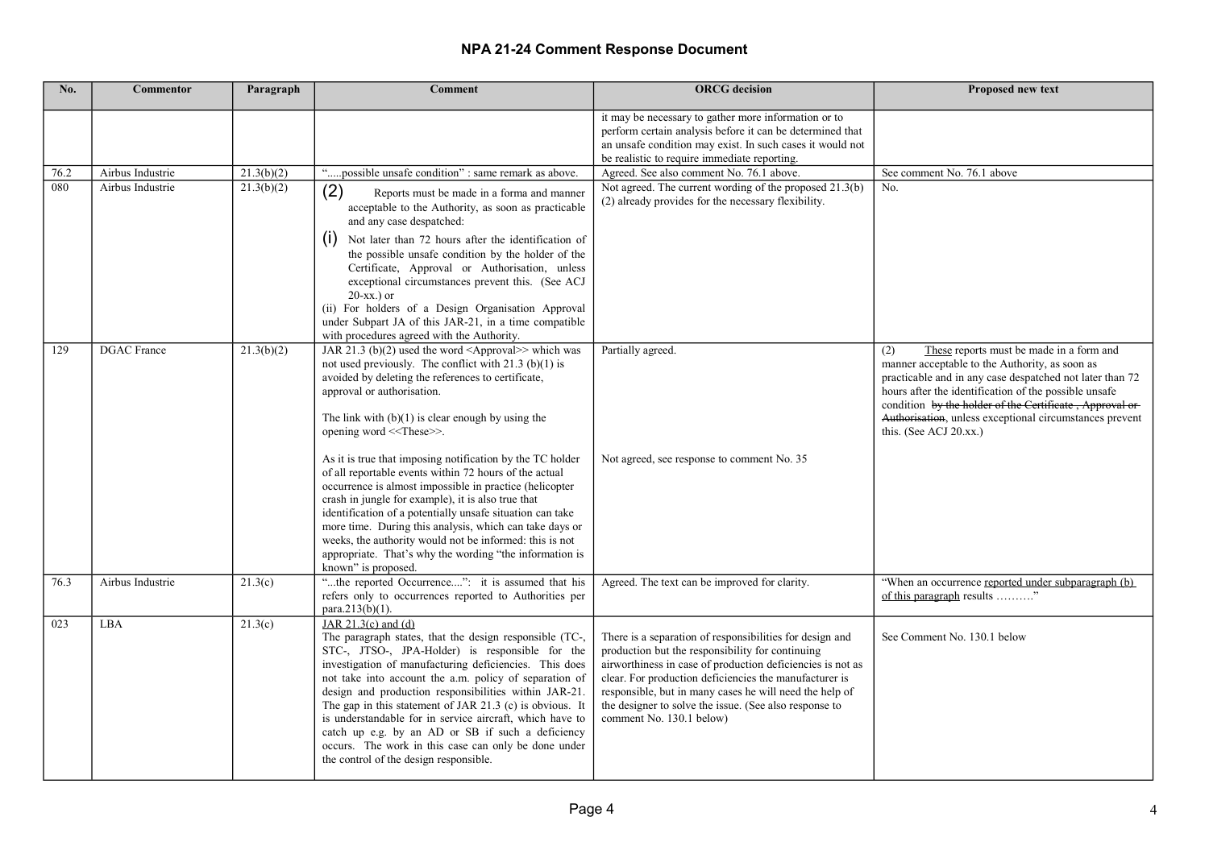| No.  | <b>Commentor</b>   | Paragraph  | <b>Comment</b>                                                                                                                                                                                                                                                                                                                                                                                                                                                                                                                                                                                                                                                                                                                                                                                          | <b>ORCG</b> decision                                                                                                                                                                                                                                                                                                                                                                  | Proposed new text                                                                                                                                                                                                                                                                                                                                                          |
|------|--------------------|------------|---------------------------------------------------------------------------------------------------------------------------------------------------------------------------------------------------------------------------------------------------------------------------------------------------------------------------------------------------------------------------------------------------------------------------------------------------------------------------------------------------------------------------------------------------------------------------------------------------------------------------------------------------------------------------------------------------------------------------------------------------------------------------------------------------------|---------------------------------------------------------------------------------------------------------------------------------------------------------------------------------------------------------------------------------------------------------------------------------------------------------------------------------------------------------------------------------------|----------------------------------------------------------------------------------------------------------------------------------------------------------------------------------------------------------------------------------------------------------------------------------------------------------------------------------------------------------------------------|
|      |                    |            |                                                                                                                                                                                                                                                                                                                                                                                                                                                                                                                                                                                                                                                                                                                                                                                                         | it may be necessary to gather more information or to<br>perform certain analysis before it can be determined that<br>an unsafe condition may exist. In such cases it would not<br>be realistic to require immediate reporting.                                                                                                                                                        |                                                                                                                                                                                                                                                                                                                                                                            |
| 76.2 | Airbus Industrie   | 21.3(b)(2) | "possible unsafe condition" : same remark as above.                                                                                                                                                                                                                                                                                                                                                                                                                                                                                                                                                                                                                                                                                                                                                     | Agreed. See also comment No. 76.1 above.                                                                                                                                                                                                                                                                                                                                              | See comment No. 76.1 above                                                                                                                                                                                                                                                                                                                                                 |
| 080  | Airbus Industrie   | 21.3(b)(2) | (2)<br>Reports must be made in a forma and manner<br>acceptable to the Authority, as soon as practicable<br>and any case despatched:<br>(1)<br>Not later than 72 hours after the identification of<br>the possible unsafe condition by the holder of the<br>Certificate, Approval or Authorisation, unless<br>exceptional circumstances prevent this. (See ACJ<br>$20$ -xx.) or<br>(ii) For holders of a Design Organisation Approval<br>under Subpart JA of this JAR-21, in a time compatible<br>with procedures agreed with the Authority.                                                                                                                                                                                                                                                            | Not agreed. The current wording of the proposed 21.3(b)<br>(2) already provides for the necessary flexibility.                                                                                                                                                                                                                                                                        | No.                                                                                                                                                                                                                                                                                                                                                                        |
| 129  | <b>DGAC</b> France | 21.3(b)(2) | JAR 21.3 (b)(2) used the word $\langle$ Approval>> which was<br>not used previously. The conflict with $21.3$ (b)(1) is<br>avoided by deleting the references to certificate,<br>approval or authorisation.<br>The link with $(b)(1)$ is clear enough by using the<br>opening word < <these>&gt;.<br/>As it is true that imposing notification by the TC holder<br/>of all reportable events within 72 hours of the actual<br/>occurrence is almost impossible in practice (helicopter<br/>crash in jungle for example), it is also true that<br/>identification of a potentially unsafe situation can take<br/>more time. During this analysis, which can take days or<br/>weeks, the authority would not be informed: this is not<br/>appropriate. That's why the wording "the information is</these> | Partially agreed.<br>Not agreed, see response to comment No. 35                                                                                                                                                                                                                                                                                                                       | (2)<br>These reports must be made in a form and<br>manner acceptable to the Authority, as soon as<br>practicable and in any case despatched not later than 72<br>hours after the identification of the possible unsafe<br>condition by the holder of the Certificate, Approval or-<br>Authorisation, unless exceptional circumstances prevent<br>this. (See ACJ $20.xx$ .) |
| 76.3 | Airbus Industrie   | 21.3(c)    | known" is proposed.<br>"the reported Occurrence": it is assumed that his<br>refers only to occurrences reported to Authorities per<br>para.213(b)(1).                                                                                                                                                                                                                                                                                                                                                                                                                                                                                                                                                                                                                                                   | Agreed. The text can be improved for clarity.                                                                                                                                                                                                                                                                                                                                         | "When an occurrence reported under subparagraph (b)<br>of this paragraph results "                                                                                                                                                                                                                                                                                         |
| 023  | LBA                | 21.3(c)    | JAR $21.3(c)$ and $(d)$<br>The paragraph states, that the design responsible (TC-,<br>STC-, JTSO-, JPA-Holder) is responsible for the<br>investigation of manufacturing deficiencies. This does<br>not take into account the a.m. policy of separation of<br>design and production responsibilities within JAR-21.<br>The gap in this statement of JAR 21.3 (c) is obvious. It<br>is understandable for in service aircraft, which have to<br>catch up e.g. by an AD or SB if such a deficiency<br>occurs. The work in this case can only be done under<br>the control of the design responsible.                                                                                                                                                                                                       | There is a separation of responsibilities for design and<br>production but the responsibility for continuing<br>airworthiness in case of production deficiencies is not as<br>clear. For production deficiencies the manufacturer is<br>responsible, but in many cases he will need the help of<br>the designer to solve the issue. (See also response to<br>comment No. 130.1 below) | See Comment No. 130.1 below                                                                                                                                                                                                                                                                                                                                                |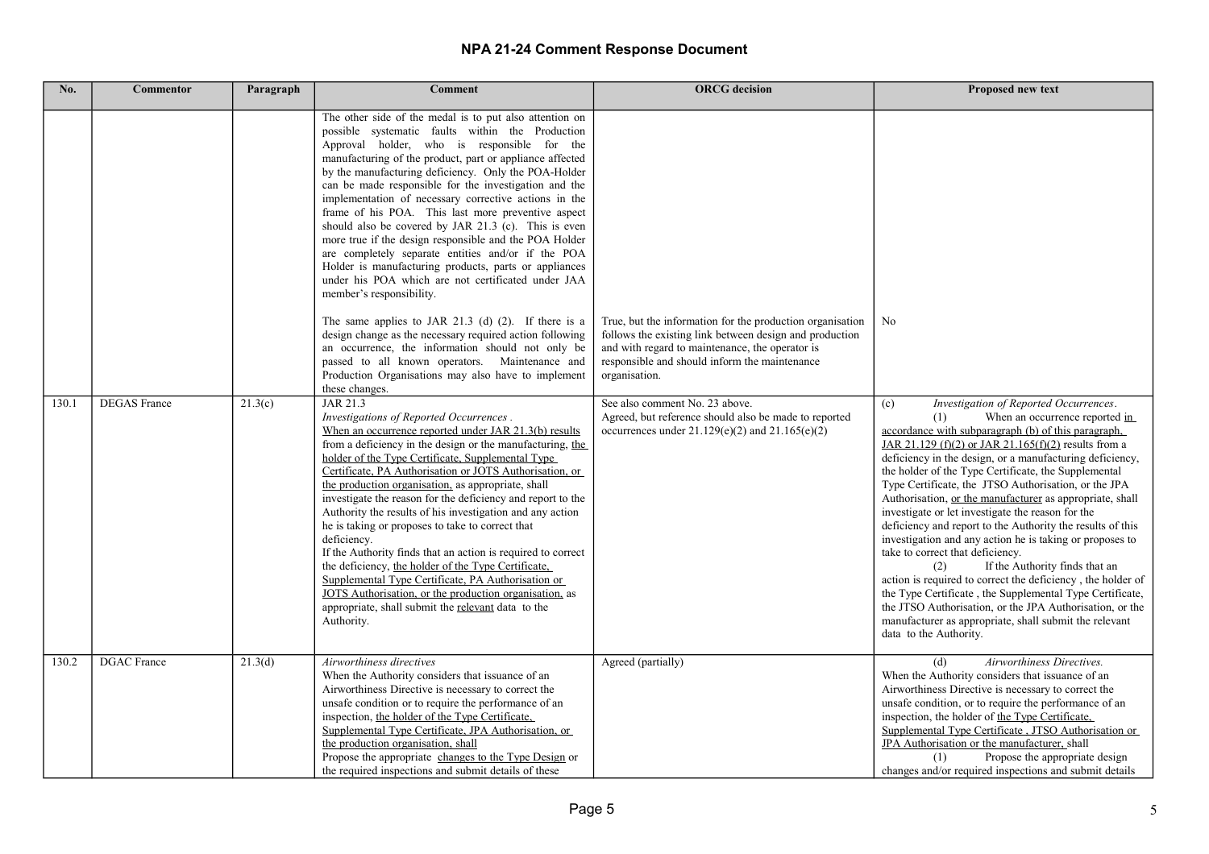| No.   | <b>Commentor</b>    | Paragraph | <b>Comment</b>                                                                                                                                                                                                                                                                                                                                                                                                                                                                                                                                                                                                                                                                                                                                                                                                                                                                                                                                                                                                                                                                                                                                                                                                                                                                                                                                                                                                                                                                                                                                                                                                                                                                                                                                                                                                                                                           | <b>ORCG</b> decision                                                                                                                                                                                                                                                                                                                                                                        | <b>Proposed new text</b>                                                                                                                                                                                                                                                                                                                                                                                                                                                                                                                                                                                                                                                                                                                                                                                                                   |
|-------|---------------------|-----------|--------------------------------------------------------------------------------------------------------------------------------------------------------------------------------------------------------------------------------------------------------------------------------------------------------------------------------------------------------------------------------------------------------------------------------------------------------------------------------------------------------------------------------------------------------------------------------------------------------------------------------------------------------------------------------------------------------------------------------------------------------------------------------------------------------------------------------------------------------------------------------------------------------------------------------------------------------------------------------------------------------------------------------------------------------------------------------------------------------------------------------------------------------------------------------------------------------------------------------------------------------------------------------------------------------------------------------------------------------------------------------------------------------------------------------------------------------------------------------------------------------------------------------------------------------------------------------------------------------------------------------------------------------------------------------------------------------------------------------------------------------------------------------------------------------------------------------------------------------------------------|---------------------------------------------------------------------------------------------------------------------------------------------------------------------------------------------------------------------------------------------------------------------------------------------------------------------------------------------------------------------------------------------|--------------------------------------------------------------------------------------------------------------------------------------------------------------------------------------------------------------------------------------------------------------------------------------------------------------------------------------------------------------------------------------------------------------------------------------------------------------------------------------------------------------------------------------------------------------------------------------------------------------------------------------------------------------------------------------------------------------------------------------------------------------------------------------------------------------------------------------------|
| 130.1 | <b>DEGAS</b> France | 21.3(c)   | The other side of the medal is to put also attention on<br>possible systematic faults within the Production<br>Approval holder, who is responsible for the<br>manufacturing of the product, part or appliance affected<br>by the manufacturing deficiency. Only the POA-Holder<br>can be made responsible for the investigation and the<br>implementation of necessary corrective actions in the<br>frame of his POA. This last more preventive aspect<br>should also be covered by JAR 21.3 (c). This is even<br>more true if the design responsible and the POA Holder<br>are completely separate entities and/or if the POA<br>Holder is manufacturing products, parts or appliances<br>under his POA which are not certificated under JAA<br>member's responsibility.<br>The same applies to JAR 21.3 (d) $(2)$ . If there is a<br>design change as the necessary required action following<br>an occurrence, the information should not only be<br>passed to all known operators. Maintenance and<br>Production Organisations may also have to implement<br>these changes.<br>JAR 21.3<br>Investigations of Reported Occurrences.<br>When an occurrence reported under JAR 21.3(b) results<br>from a deficiency in the design or the manufacturing, the<br>holder of the Type Certificate, Supplemental Type<br>Certificate, PA Authorisation or JOTS Authorisation, or<br>the production organisation, as appropriate, shall<br>investigate the reason for the deficiency and report to the<br>Authority the results of his investigation and any action<br>he is taking or proposes to take to correct that<br>deficiency.<br>If the Authority finds that an action is required to correct<br>the deficiency, the holder of the Type Certificate,<br>Supplemental Type Certificate, PA Authorisation or<br>JOTS Authorisation, or the production organisation, as | True, but the information for the production organisation<br>follows the existing link between design and production<br>and with regard to maintenance, the operator is<br>responsible and should inform the maintenance<br>organisation.<br>See also comment No. 23 above.<br>Agreed, but reference should also be made to reported<br>occurrences under $21.129(e)(2)$ and $21.165(e)(2)$ | No<br>Investigation of Reported Occurrences.<br>(c)<br>When an occurrence reported in<br>(1)<br>accordance with subparagraph (b) of this paragraph,<br>JAR 21.129 (f)(2) or JAR 21.165(f)(2) results from a<br>deficiency in the design, or a manufacturing deficiency,<br>the holder of the Type Certificate, the Supplemental<br>Type Certificate, the JTSO Authorisation, or the JPA<br>Authorisation, or the manufacturer as appropriate, shall<br>investigate or let investigate the reason for the<br>deficiency and report to the Authority the results of this<br>investigation and any action he is taking or proposes to<br>take to correct that deficiency.<br>If the Authority finds that an<br>(2)<br>action is required to correct the deficiency, the holder of<br>the Type Certificate, the Supplemental Type Certificate, |
|       |                     |           | appropriate, shall submit the relevant data to the<br>Authority.                                                                                                                                                                                                                                                                                                                                                                                                                                                                                                                                                                                                                                                                                                                                                                                                                                                                                                                                                                                                                                                                                                                                                                                                                                                                                                                                                                                                                                                                                                                                                                                                                                                                                                                                                                                                         |                                                                                                                                                                                                                                                                                                                                                                                             | the JTSO Authorisation, or the JPA Authorisation, or the<br>manufacturer as appropriate, shall submit the relevant<br>data to the Authority.                                                                                                                                                                                                                                                                                                                                                                                                                                                                                                                                                                                                                                                                                               |
| 130.2 | <b>DGAC</b> France  | 21.3(d)   | Airworthiness directives<br>When the Authority considers that issuance of an<br>Airworthiness Directive is necessary to correct the<br>unsafe condition or to require the performance of an<br>inspection, the holder of the Type Certificate,<br>Supplemental Type Certificate, JPA Authorisation, or<br>the production organisation, shall<br>Propose the appropriate changes to the Type Design or<br>the required inspections and submit details of these                                                                                                                                                                                                                                                                                                                                                                                                                                                                                                                                                                                                                                                                                                                                                                                                                                                                                                                                                                                                                                                                                                                                                                                                                                                                                                                                                                                                            | Agreed (partially)                                                                                                                                                                                                                                                                                                                                                                          | (d)<br>Airworthiness Directives.<br>When the Authority considers that issuance of an<br>Airworthiness Directive is necessary to correct the<br>unsafe condition, or to require the performance of an<br>inspection, the holder of the Type Certificate,<br>Supplemental Type Certificate, JTSO Authorisation or<br>JPA Authorisation or the manufacturer, shall<br>Propose the appropriate design<br>(1)<br>changes and/or required inspections and submit details                                                                                                                                                                                                                                                                                                                                                                         |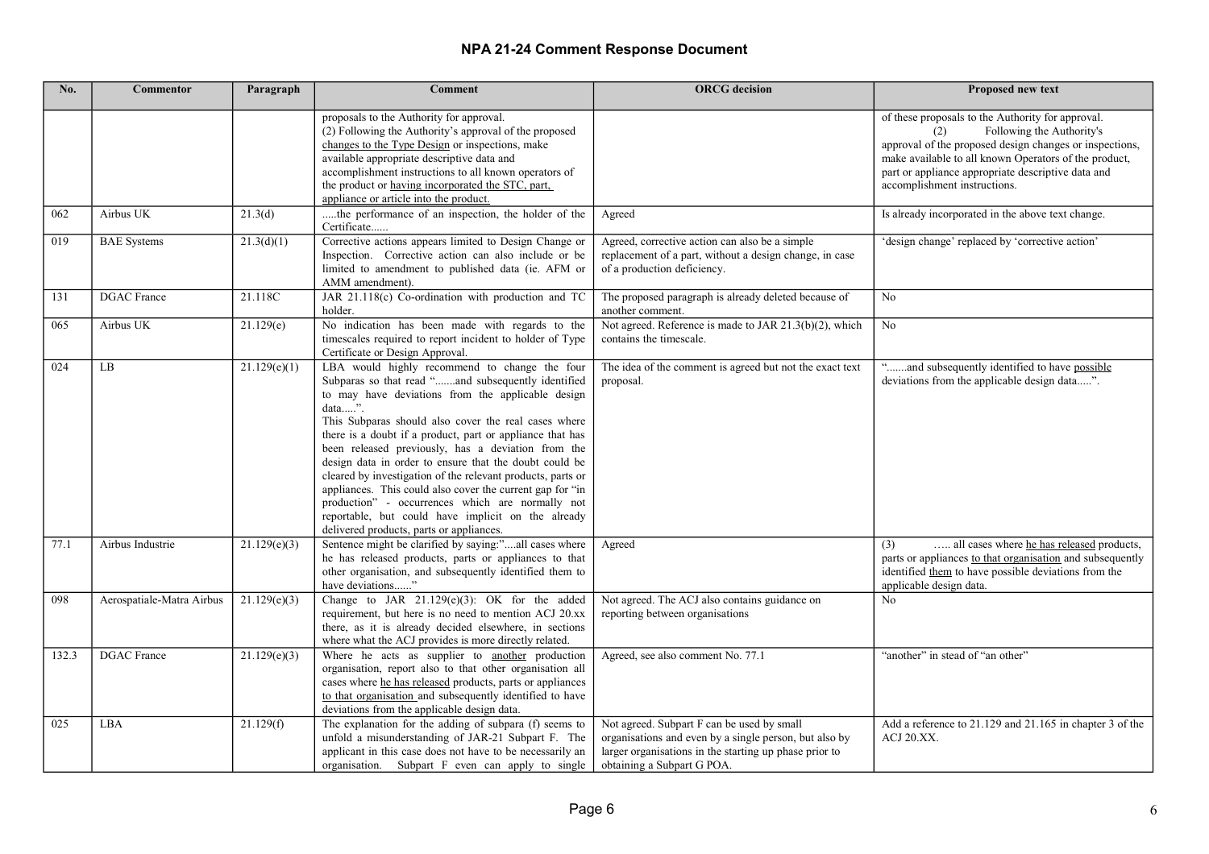| No.   | <b>Commentor</b>          | Paragraph    | <b>Comment</b>                                                                                                                                                                                                                                                                                                                                                                                                                                                                                                                                                                                                                                                                               | <b>ORCG</b> decision                                                                                                                                                                         | <b>Proposed new text</b>                                                                                                                                                                                                                                                                        |
|-------|---------------------------|--------------|----------------------------------------------------------------------------------------------------------------------------------------------------------------------------------------------------------------------------------------------------------------------------------------------------------------------------------------------------------------------------------------------------------------------------------------------------------------------------------------------------------------------------------------------------------------------------------------------------------------------------------------------------------------------------------------------|----------------------------------------------------------------------------------------------------------------------------------------------------------------------------------------------|-------------------------------------------------------------------------------------------------------------------------------------------------------------------------------------------------------------------------------------------------------------------------------------------------|
|       |                           |              | proposals to the Authority for approval.<br>(2) Following the Authority's approval of the proposed<br>changes to the Type Design or inspections, make<br>available appropriate descriptive data and<br>accomplishment instructions to all known operators of<br>the product or having incorporated the STC, part,<br>appliance or article into the product.                                                                                                                                                                                                                                                                                                                                  |                                                                                                                                                                                              | of these proposals to the Authority for approval.<br>Following the Authority's<br>(2)<br>approval of the proposed design changes or inspections,<br>make available to all known Operators of the product,<br>part or appliance appropriate descriptive data and<br>accomplishment instructions. |
| 062   | Airbus UK                 | 21.3(d)      | the performance of an inspection, the holder of the<br>Certificate                                                                                                                                                                                                                                                                                                                                                                                                                                                                                                                                                                                                                           | Agreed                                                                                                                                                                                       | Is already incorporated in the above text change.                                                                                                                                                                                                                                               |
| 019   | <b>BAE</b> Systems        | 21.3(d)(1)   | Corrective actions appears limited to Design Change or<br>Inspection. Corrective action can also include or be<br>limited to amendment to published data (ie. AFM or<br>AMM amendment).                                                                                                                                                                                                                                                                                                                                                                                                                                                                                                      | Agreed, corrective action can also be a simple<br>replacement of a part, without a design change, in case<br>of a production deficiency.                                                     | 'design change' replaced by 'corrective action'                                                                                                                                                                                                                                                 |
| 131   | <b>DGAC</b> France        | 21.118C      | JAR 21.118(c) Co-ordination with production and TC<br>holder.                                                                                                                                                                                                                                                                                                                                                                                                                                                                                                                                                                                                                                | The proposed paragraph is already deleted because of<br>another comment.                                                                                                                     | No                                                                                                                                                                                                                                                                                              |
| 065   | Airbus UK                 | 21.129(e)    | No indication has been made with regards to the<br>timescales required to report incident to holder of Type<br>Certificate or Design Approval.                                                                                                                                                                                                                                                                                                                                                                                                                                                                                                                                               | Not agreed. Reference is made to JAR 21.3(b)(2), which<br>contains the timescale.                                                                                                            | N <sub>o</sub>                                                                                                                                                                                                                                                                                  |
| 024   | LB                        | 21.129(e)(1) | LBA would highly recommend to change the four<br>Subparas so that read "and subsequently identified<br>to may have deviations from the applicable design<br>$data$ ".<br>This Subparas should also cover the real cases where<br>there is a doubt if a product, part or appliance that has<br>been released previously, has a deviation from the<br>design data in order to ensure that the doubt could be<br>cleared by investigation of the relevant products, parts or<br>appliances. This could also cover the current gap for "in<br>production" - occurrences which are normally not<br>reportable, but could have implicit on the already<br>delivered products, parts or appliances. | The idea of the comment is agreed but not the exact text<br>proposal.                                                                                                                        | "and subsequently identified to have possible<br>deviations from the applicable design data".                                                                                                                                                                                                   |
| 77.1  | Airbus Industrie          | 21.129(e)(3) | Sentence might be clarified by saying:"all cases where<br>he has released products, parts or appliances to that<br>other organisation, and subsequently identified them to<br>have deviations"                                                                                                                                                                                                                                                                                                                                                                                                                                                                                               | Agreed                                                                                                                                                                                       | all cases where he has released products,<br>(3)<br>parts or appliances to that organisation and subsequently<br>identified them to have possible deviations from the<br>applicable design data.                                                                                                |
| 098   | Aerospatiale-Matra Airbus | 21.129(e)(3) | Change to JAR $21.129(e)(3)$ : OK for the added<br>requirement, but here is no need to mention ACJ 20.xx<br>there, as it is already decided elsewhere, in sections<br>where what the ACJ provides is more directly related.                                                                                                                                                                                                                                                                                                                                                                                                                                                                  | Not agreed. The ACJ also contains guidance on<br>reporting between organisations                                                                                                             | N <sub>0</sub>                                                                                                                                                                                                                                                                                  |
| 132.3 | <b>DGAC</b> France        | 21.129(e)(3) | Where he acts as supplier to another production<br>organisation, report also to that other organisation all<br>cases where he has released products, parts or appliances<br>to that organisation and subsequently identified to have<br>deviations from the applicable design data.                                                                                                                                                                                                                                                                                                                                                                                                          | Agreed, see also comment No. 77.1                                                                                                                                                            | "another" in stead of "an other"                                                                                                                                                                                                                                                                |
| 025   | LBA                       | 21.129(f)    | The explanation for the adding of subpara (f) seems to<br>unfold a misunderstanding of JAR-21 Subpart F. The<br>applicant in this case does not have to be necessarily an<br>organisation. Subpart F even can apply to single                                                                                                                                                                                                                                                                                                                                                                                                                                                                | Not agreed. Subpart F can be used by small<br>organisations and even by a single person, but also by<br>larger organisations in the starting up phase prior to<br>obtaining a Subpart G POA. | Add a reference to 21.129 and 21.165 in chapter 3 of the<br>ACJ 20.XX.                                                                                                                                                                                                                          |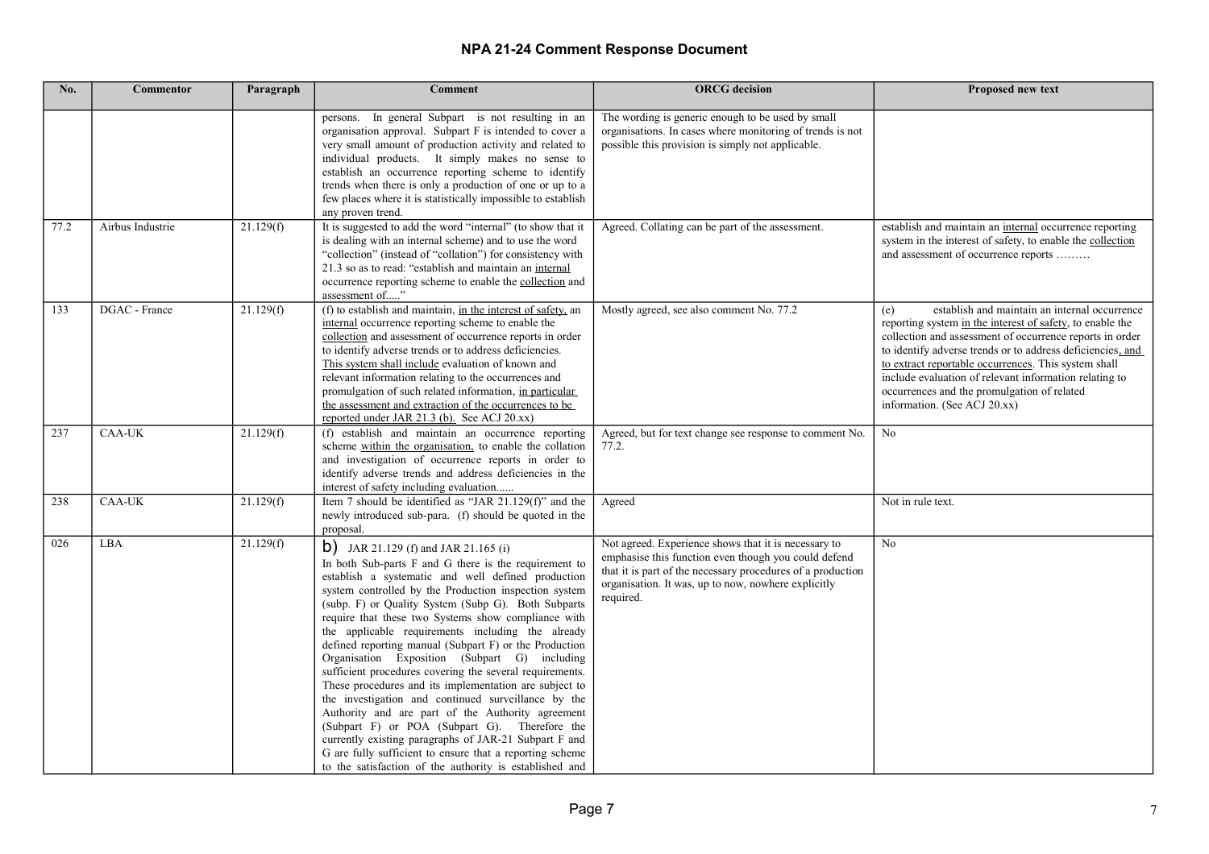| No.  | <b>Commentor</b> | Paragraph | <b>Comment</b>                                                                                                                                                                                                                                                                                                                                                                                                                                                                                                                                                                                                                                                                                                                                                                                                                                                                                                                                                        | <b>ORCG</b> decision                                                                                                                                                                                                                            | Proposed new text                                                                                                                                                                                                                                                                                                                                                                                                                            |
|------|------------------|-----------|-----------------------------------------------------------------------------------------------------------------------------------------------------------------------------------------------------------------------------------------------------------------------------------------------------------------------------------------------------------------------------------------------------------------------------------------------------------------------------------------------------------------------------------------------------------------------------------------------------------------------------------------------------------------------------------------------------------------------------------------------------------------------------------------------------------------------------------------------------------------------------------------------------------------------------------------------------------------------|-------------------------------------------------------------------------------------------------------------------------------------------------------------------------------------------------------------------------------------------------|----------------------------------------------------------------------------------------------------------------------------------------------------------------------------------------------------------------------------------------------------------------------------------------------------------------------------------------------------------------------------------------------------------------------------------------------|
|      |                  |           | persons. In general Subpart is not resulting in an<br>organisation approval. Subpart F is intended to cover a<br>very small amount of production activity and related to<br>individual products. It simply makes no sense to<br>establish an occurrence reporting scheme to identify<br>trends when there is only a production of one or up to a<br>few places where it is statistically impossible to establish<br>any proven trend.                                                                                                                                                                                                                                                                                                                                                                                                                                                                                                                                 | The wording is generic enough to be used by small<br>organisations. In cases where monitoring of trends is not<br>possible this provision is simply not applicable.                                                                             |                                                                                                                                                                                                                                                                                                                                                                                                                                              |
| 77.2 | Airbus Industrie | 21.129(f) | It is suggested to add the word "internal" (to show that it<br>is dealing with an internal scheme) and to use the word<br>"collection" (instead of "collation") for consistency with<br>21.3 so as to read: "establish and maintain an internal<br>occurrence reporting scheme to enable the collection and<br>assessment of"                                                                                                                                                                                                                                                                                                                                                                                                                                                                                                                                                                                                                                         | Agreed. Collating can be part of the assessment.                                                                                                                                                                                                | establish and maintain an internal occurrence reporting<br>system in the interest of safety, to enable the collection<br>and assessment of occurrence reports                                                                                                                                                                                                                                                                                |
| 133  | DGAC - France    | 21.129(f) | (f) to establish and maintain, in the interest of safety, an<br>internal occurrence reporting scheme to enable the<br>collection and assessment of occurrence reports in order<br>to identify adverse trends or to address deficiencies.<br>This system shall include evaluation of known and<br>relevant information relating to the occurrences and<br>promulgation of such related information, in particular<br>the assessment and extraction of the occurrences to be<br>reported under JAR 21.3 (b). See ACJ 20.xx)                                                                                                                                                                                                                                                                                                                                                                                                                                             | Mostly agreed, see also comment No. 77.2                                                                                                                                                                                                        | establish and maintain an internal occurrence<br>(e)<br>reporting system in the interest of safety, to enable the<br>collection and assessment of occurrence reports in order<br>to identify adverse trends or to address deficiencies, and<br>to extract reportable occurrences. This system shall<br>include evaluation of relevant information relating to<br>occurrences and the promulgation of related<br>information. (See ACJ 20.xx) |
| 237  | <b>CAA-UK</b>    | 21.129(f) | (f) establish and maintain an occurrence reporting<br>scheme within the organisation, to enable the collation<br>and investigation of occurrence reports in order to<br>identify adverse trends and address deficiencies in the<br>interest of safety including evaluation                                                                                                                                                                                                                                                                                                                                                                                                                                                                                                                                                                                                                                                                                            | Agreed, but for text change see response to comment No.<br>77.2.                                                                                                                                                                                | No                                                                                                                                                                                                                                                                                                                                                                                                                                           |
| 238  | <b>CAA-UK</b>    | 21.129(f) | Item 7 should be identified as "JAR 21.129(f)" and the<br>newly introduced sub-para. (f) should be quoted in the<br>proposal.                                                                                                                                                                                                                                                                                                                                                                                                                                                                                                                                                                                                                                                                                                                                                                                                                                         | Agreed                                                                                                                                                                                                                                          | Not in rule text.                                                                                                                                                                                                                                                                                                                                                                                                                            |
| 026  | LBA              | 21.129(f) | <b>b</b> ) JAR 21.129 (f) and JAR 21.165 (i)<br>In both Sub-parts F and G there is the requirement to<br>establish a systematic and well defined production<br>system controlled by the Production inspection system<br>(subp. F) or Quality System (Subp G). Both Subparts<br>require that these two Systems show compliance with<br>the applicable requirements including the already<br>defined reporting manual (Subpart F) or the Production<br>Organisation Exposition (Subpart G) including<br>sufficient procedures covering the several requirements.<br>These procedures and its implementation are subject to<br>the investigation and continued surveillance by the<br>Authority and are part of the Authority agreement<br>(Subpart F) or POA (Subpart G). Therefore the<br>currently existing paragraphs of JAR-21 Subpart F and<br>G are fully sufficient to ensure that a reporting scheme<br>to the satisfaction of the authority is established and | Not agreed. Experience shows that it is necessary to<br>emphasise this function even though you could defend<br>that it is part of the necessary procedures of a production<br>organisation. It was, up to now, nowhere explicitly<br>required. | No                                                                                                                                                                                                                                                                                                                                                                                                                                           |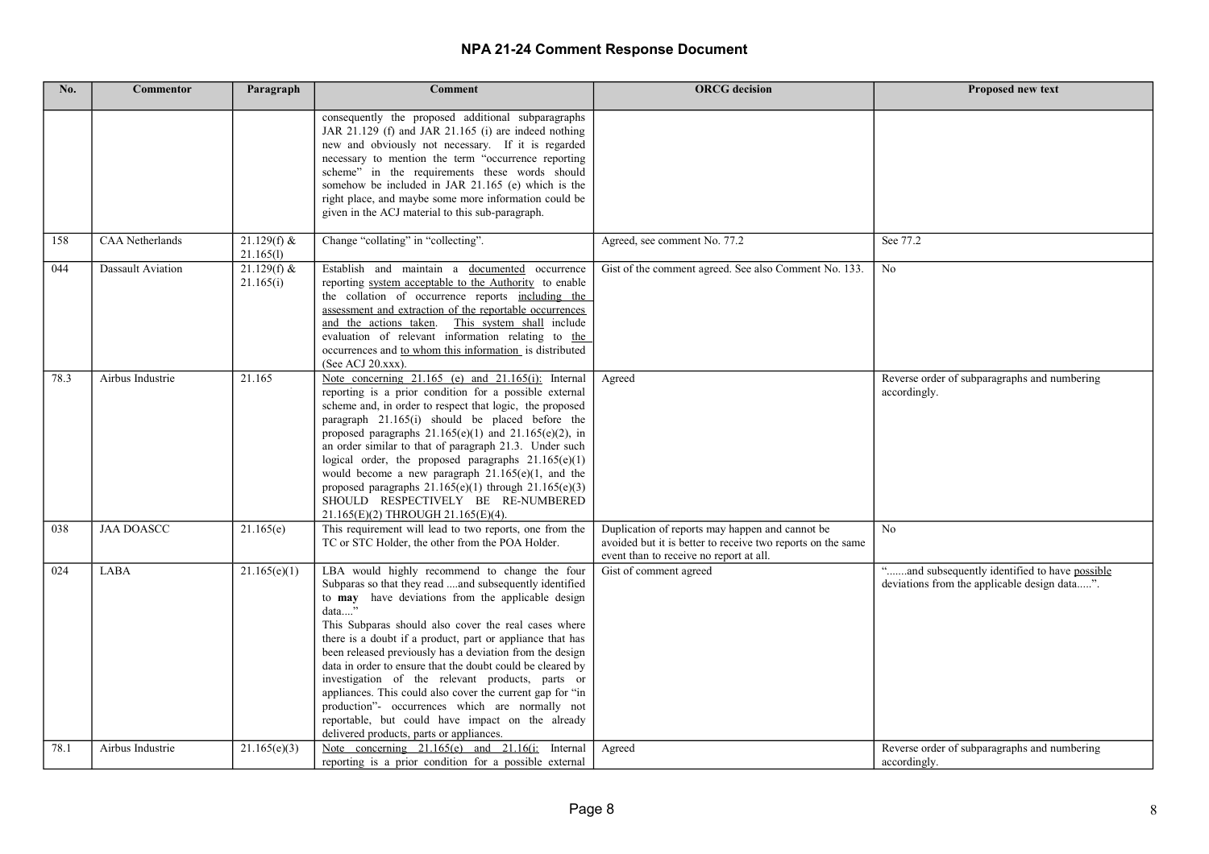| No.  | <b>Commentor</b>       | Paragraph                  | <b>Comment</b>                                                                                                                                                                                                                                                                                                                                                                                                                                                                                                                                                                                                                                                                           | <b>ORCG</b> decision                                                                                                                                      | Proposed new text                                                                             |
|------|------------------------|----------------------------|------------------------------------------------------------------------------------------------------------------------------------------------------------------------------------------------------------------------------------------------------------------------------------------------------------------------------------------------------------------------------------------------------------------------------------------------------------------------------------------------------------------------------------------------------------------------------------------------------------------------------------------------------------------------------------------|-----------------------------------------------------------------------------------------------------------------------------------------------------------|-----------------------------------------------------------------------------------------------|
|      |                        |                            | consequently the proposed additional subparagraphs<br>JAR 21.129 (f) and JAR 21.165 (i) are indeed nothing<br>new and obviously not necessary. If it is regarded<br>necessary to mention the term "occurrence reporting<br>scheme" in the requirements these words should<br>somehow be included in JAR 21.165 (e) which is the<br>right place, and maybe some more information could be<br>given in the ACJ material to this sub-paragraph.                                                                                                                                                                                                                                             |                                                                                                                                                           |                                                                                               |
| 158  | <b>CAA</b> Netherlands | $21.129(f)$ &<br>21.165(l) | Change "collating" in "collecting".                                                                                                                                                                                                                                                                                                                                                                                                                                                                                                                                                                                                                                                      | Agreed, see comment No. 77.2                                                                                                                              | See 77.2                                                                                      |
| 044  | Dassault Aviation      | $21.129(f)$ &<br>21.165(i) | Establish and maintain a documented occurrence<br>reporting system acceptable to the Authority to enable<br>the collation of occurrence reports including the<br>assessment and extraction of the reportable occurrences<br>and the actions taken. This system shall include<br>evaluation of relevant information relating to the<br>occurrences and to whom this information is distributed<br>(See ACJ 20.xxx).                                                                                                                                                                                                                                                                       | Gist of the comment agreed. See also Comment No. 133.                                                                                                     | N <sub>0</sub>                                                                                |
| 78.3 | Airbus Industrie       | 21.165                     | Note concerning $21.165$ (e) and $21.165$ (i): Internal<br>reporting is a prior condition for a possible external<br>scheme and, in order to respect that logic, the proposed<br>paragraph 21.165(i) should be placed before the<br>proposed paragraphs $21.165(e)(1)$ and $21.165(e)(2)$ , in<br>an order similar to that of paragraph 21.3. Under such<br>logical order, the proposed paragraphs $21.165(e)(1)$<br>would become a new paragraph $21.165(e)(1)$ , and the<br>proposed paragraphs $21.165(e)(1)$ through $21.165(e)(3)$<br>SHOULD RESPECTIVELY BE RE-NUMBERED<br>21.165(E)(2) THROUGH 21.165(E)(4).                                                                      | Agreed                                                                                                                                                    | Reverse order of subparagraphs and numbering<br>accordingly.                                  |
| 038  | <b>JAA DOASCC</b>      | 21.165(e)                  | This requirement will lead to two reports, one from the<br>TC or STC Holder, the other from the POA Holder.                                                                                                                                                                                                                                                                                                                                                                                                                                                                                                                                                                              | Duplication of reports may happen and cannot be<br>avoided but it is better to receive two reports on the same<br>event than to receive no report at all. | N <sub>0</sub>                                                                                |
| 024  | LABA                   | 21.165(e)(1)               | LBA would highly recommend to change the four<br>Subparas so that they read and subsequently identified<br>to may have deviations from the applicable design<br>data"<br>This Subparas should also cover the real cases where<br>there is a doubt if a product, part or appliance that has<br>been released previously has a deviation from the design<br>data in order to ensure that the doubt could be cleared by<br>investigation of the relevant products, parts or<br>appliances. This could also cover the current gap for "in<br>production"- occurrences which are normally not<br>reportable, but could have impact on the already<br>delivered products, parts or appliances. | Gist of comment agreed                                                                                                                                    | "and subsequently identified to have possible<br>deviations from the applicable design data". |
| 78.1 | Airbus Industrie       | 21.165(e)(3)               | Note concerning 21.165(e) and 21.16(i: Internal<br>reporting is a prior condition for a possible external                                                                                                                                                                                                                                                                                                                                                                                                                                                                                                                                                                                | Agreed                                                                                                                                                    | Reverse order of subparagraphs and numbering<br>accordingly.                                  |